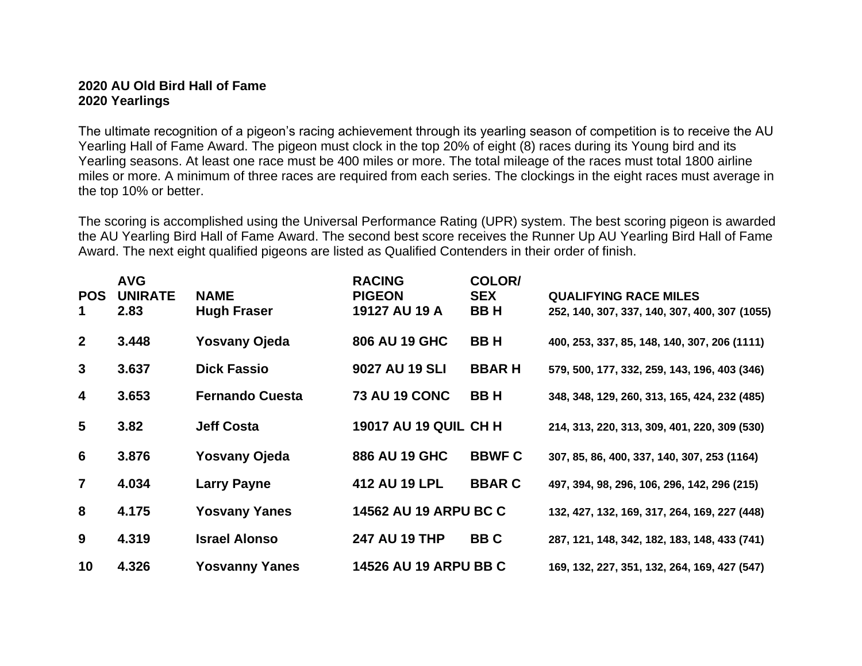## **2020 AU Old Bird Hall of Fame 2020 Yearlings**

The ultimate recognition of a pigeon's racing achievement through its yearling season of competition is to receive the AU Yearling Hall of Fame Award. The pigeon must clock in the top 20% of eight (8) races during its Young bird and its Yearling seasons. At least one race must be 400 miles or more. The total mileage of the races must total 1800 airline miles or more. A minimum of three races are required from each series. The clockings in the eight races must average in the top 10% or better.

The scoring is accomplished using the Universal Performance Rating (UPR) system. The best scoring pigeon is awarded the AU Yearling Bird Hall of Fame Award. The second best score receives the Runner Up AU Yearling Bird Hall of Fame Award. The next eight qualified pigeons are listed as Qualified Contenders in their order of finish.

| <b>POS</b><br>1 | <b>AVG</b><br><b>UNIRATE</b><br>2.83 | <b>NAME</b><br>Hugh Fraser | <b>RACING</b><br><b>PIGEON</b><br>19127 AU 19 A | COLOR/<br><b>SEX</b><br><b>BBH</b> | <b>QUALIFYING RACE MILES</b><br>252, 140, 307, 337, 140, 307, 400, 307 (1055) |
|-----------------|--------------------------------------|----------------------------|-------------------------------------------------|------------------------------------|-------------------------------------------------------------------------------|
| $\overline{2}$  | 3.448                                | <b>Yosvany Ojeda</b>       | 806 AU 19 GHC                                   | <b>BBH</b>                         | 400, 253, 337, 85, 148, 140, 307, 206 (1111)                                  |
| $\mathbf{3}$    | 3.637                                | <b>Dick Fassio</b>         | 9027 AU 19 SLI                                  | <b>BBARH</b>                       | 579, 500, 177, 332, 259, 143, 196, 403 (346)                                  |
| 4               | 3.653                                | <b>Fernando Cuesta</b>     | <b>73 AU 19 CONC</b>                            | <b>BBH</b>                         | 348, 348, 129, 260, 313, 165, 424, 232 (485)                                  |
| 5               | 3.82                                 | <b>Jeff Costa</b>          | <b>19017 AU 19 QUIL CH H</b>                    |                                    | 214, 313, 220, 313, 309, 401, 220, 309 (530)                                  |
| 6               | 3.876                                | <b>Yosvany Ojeda</b>       | 886 AU 19 GHC                                   | <b>BBWF C</b>                      | 307, 85, 86, 400, 337, 140, 307, 253 (1164)                                   |
| $\overline{7}$  | 4.034                                | <b>Larry Payne</b>         | 412 AU 19 LPL                                   | <b>BBARC</b>                       | 497, 394, 98, 296, 106, 296, 142, 296 (215)                                   |
| 8               | 4.175                                | <b>Yosvany Yanes</b>       | <b>14562 AU 19 ARPU BC C</b>                    |                                    | 132, 427, 132, 169, 317, 264, 169, 227 (448)                                  |
| 9               | 4.319                                | <b>Israel Alonso</b>       | <b>247 AU 19 THP</b>                            | <b>BBC</b>                         | 287, 121, 148, 342, 182, 183, 148, 433 (741)                                  |
| 10              | 4.326                                | <b>Yosvanny Yanes</b>      | 14526 AU 19 ARPU BB C                           |                                    | 169, 132, 227, 351, 132, 264, 169, 427 (547)                                  |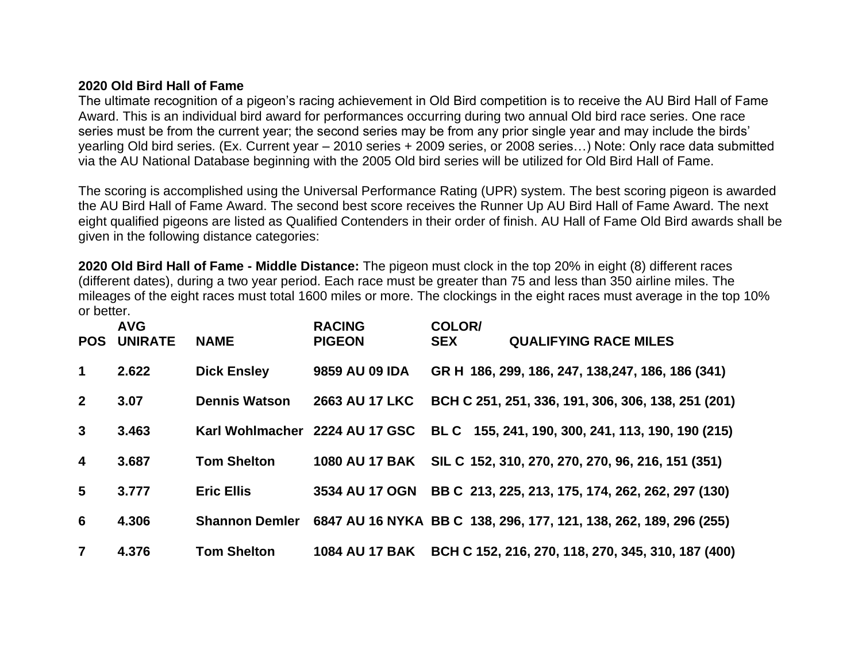## **2020 Old Bird Hall of Fame**

The ultimate recognition of a pigeon's racing achievement in Old Bird competition is to receive the AU Bird Hall of Fame Award. This is an individual bird award for performances occurring during two annual Old bird race series. One race series must be from the current year; the second series may be from any prior single year and may include the birds' yearling Old bird series. (Ex. Current year – 2010 series + 2009 series, or 2008 series…) Note: Only race data submitted via the AU National Database beginning with the 2005 Old bird series will be utilized for Old Bird Hall of Fame.

The scoring is accomplished using the Universal Performance Rating (UPR) system. The best scoring pigeon is awarded the AU Bird Hall of Fame Award. The second best score receives the Runner Up AU Bird Hall of Fame Award. The next eight qualified pigeons are listed as Qualified Contenders in their order of finish. AU Hall of Fame Old Bird awards shall be given in the following distance categories:

**2020 Old Bird Hall of Fame - Middle Distance:** The pigeon must clock in the top 20% in eight (8) different races (different dates), during a two year period. Each race must be greater than 75 and less than 350 airline miles. The mileages of the eight races must total 1600 miles or more. The clockings in the eight races must average in the top 10% or better.

| <b>POS</b>              | <b>AVG</b><br><b>UNIRATE</b> | <b>NAME</b>           | <b>RACING</b><br><b>PIGEON</b> | COLOR/<br><b>SEX</b> | <b>QUALIFYING RACE MILES</b>                                                     |
|-------------------------|------------------------------|-----------------------|--------------------------------|----------------------|----------------------------------------------------------------------------------|
| $\mathbf 1$             | 2.622                        | <b>Dick Ensley</b>    | 9859 AU 09 IDA                 |                      | GR H 186, 299, 186, 247, 138, 247, 186, 186 (341)                                |
| $\overline{2}$          | 3.07                         | <b>Dennis Watson</b>  | <b>2663 AU 17 LKC</b>          |                      | BCH C 251, 251, 336, 191, 306, 306, 138, 251 (201)                               |
| $\mathbf{3}$            | 3.463                        |                       |                                |                      | Karl Wohlmacher 2224 AU 17 GSC BL C 155, 241, 190, 300, 241, 113, 190, 190 (215) |
| $\overline{\mathbf{4}}$ | 3.687                        | <b>Tom Shelton</b>    |                                |                      | 1080 AU 17 BAK SIL C 152, 310, 270, 270, 270, 96, 216, 151 (351)                 |
| 5                       | 3.777                        | <b>Eric Ellis</b>     |                                |                      | 3534 AU 17 OGN BB C 213, 225, 213, 175, 174, 262, 262, 297 (130)                 |
| 6                       | 4.306                        | <b>Shannon Demler</b> |                                |                      | 6847 AU 16 NYKA BB C 138, 296, 177, 121, 138, 262, 189, 296 (255)                |
| $\overline{7}$          | 4.376                        | <b>Tom Shelton</b>    | <b>1084 AU 17 BAK</b>          |                      | BCH C 152, 216, 270, 118, 270, 345, 310, 187 (400)                               |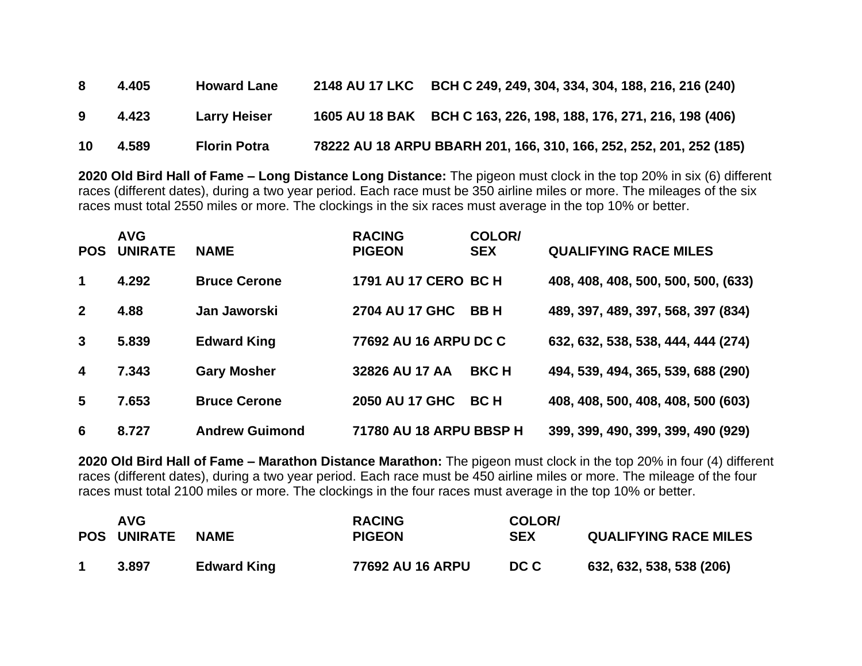| -8 | 4.405 | <b>Howard Lane</b>  | <b>2148 AU 17 LKC</b> | BCH C 249, 249, 304, 334, 304, 188, 216, 216 (240)                  |
|----|-------|---------------------|-----------------------|---------------------------------------------------------------------|
| -9 | 4.423 | <b>Larry Heiser</b> |                       | 1605 AU 18 BAK BCH C 163, 226, 198, 188, 176, 271, 216, 198 (406)   |
| 10 | 4.589 | <b>Florin Potra</b> |                       | 78222 AU 18 ARPU BBARH 201, 166, 310, 166, 252, 252, 201, 252 (185) |

**2020 Old Bird Hall of Fame – Long Distance Long Distance:** The pigeon must clock in the top 20% in six (6) different races (different dates), during a two year period. Each race must be 350 airline miles or more. The mileages of the six races must total 2550 miles or more. The clockings in the six races must average in the top 10% or better.

| <b>POS</b>              | <b>AVG</b><br><b>UNIRATE</b> | <b>NAME</b>           | <b>RACING</b><br><b>PIGEON</b> | <b>COLOR/</b><br><b>SEX</b> | <b>QUALIFYING RACE MILES</b>        |
|-------------------------|------------------------------|-----------------------|--------------------------------|-----------------------------|-------------------------------------|
| 1                       | 4.292                        | <b>Bruce Cerone</b>   | 1791 AU 17 CERO BC H           |                             | 408, 408, 408, 500, 500, 500, (633) |
| $\overline{2}$          | 4.88                         | Jan Jaworski          | <b>2704 AU 17 GHC</b>          | <b>BBH</b>                  | 489, 397, 489, 397, 568, 397 (834)  |
| 3                       | 5.839                        | <b>Edward King</b>    | 77692 AU 16 ARPU DC C          |                             | 632, 632, 538, 538, 444, 444 (274)  |
| $\overline{\mathbf{4}}$ | 7.343                        | <b>Gary Mosher</b>    | 32826 AU 17 AA                 | <b>BKCH</b>                 | 494, 539, 494, 365, 539, 688 (290)  |
| $5\overline{)}$         | 7.653                        | <b>Bruce Cerone</b>   | 2050 AU 17 GHC                 | <b>BCH</b>                  | 408, 408, 500, 408, 408, 500 (603)  |
| 6                       | 8.727                        | <b>Andrew Guimond</b> | 71780 AU 18 ARPU BBSP H        |                             | 399, 399, 490, 399, 399, 490 (929)  |

**2020 Old Bird Hall of Fame – Marathon Distance Marathon:** The pigeon must clock in the top 20% in four (4) different races (different dates), during a two year period. Each race must be 450 airline miles or more. The mileage of the four races must total 2100 miles or more. The clockings in the four races must average in the top 10% or better.

| AVG<br><b>POS UNIRATE</b> | <b>NAME</b>        | <b>RACING</b><br><b>PIGEON</b> | COLOR/<br><b>SEX</b> | <b>QUALIFYING RACE MILES</b> |
|---------------------------|--------------------|--------------------------------|----------------------|------------------------------|
| 3.897                     | <b>Edward King</b> | 77692 AU 16 ARPU               | DC C                 | 632, 632, 538, 538 (206)     |